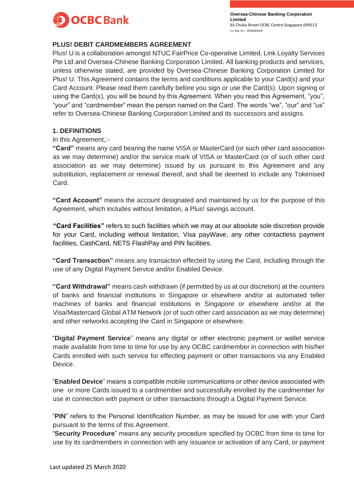

# **PLUS! DEBIT CARDMEMBERS AGREEMENT**

Plus! U is a collaboration amongst NTUC FairPrice Co-operative Limited, Link Loyalty Services Pte Ltd and Oversea-Chinese Banking Corporation Limited. All banking products and services, unless otherwise stated, are provided by Oversea-Chinese Banking Corporation Limited for Plus! U. This Agreement contains the terms and conditions applicable to your Card(s) and your Card Account. Please read them carefully before you sign or use the Card(s). Upon signing or using the Card(s), you will be bound by this Agreement. When you read this Agreement, "you", "your" and "cardmember" mean the person named on the Card. The words "we", "our" and "us" refer to Oversea-Chinese Banking Corporation Limited and its successors and assigns.

#### **1. DEFINITIONS**

#### In this Agreement,:-

**"Card"** means any card bearing the name VISA or MasterCard (or such other card association as we may determine) and/or the service mark of VISA or MasterCard (or of such other card association as we may determine) issued by us pursuant to this Agreement and any substitution, replacement or renewal thereof, and shall be deemed to include any Tokenised Card.

**"Card Account"** means the account designated and maintained by us for the purpose of this Agreement, which includes without limitation, a Plus! savings account.

**"Card Facilities"** refers to such facilities which we may at our absolute sole discretion provide for your Card, including without limitation, Visa payWave, any other contactless payment facilities, CashCard, NETS FlashPay and PIN facilities.

**"Card Transaction"** means any transaction effected by using the Card, including through the use of any Digital Payment Service and/or Enabled Device.

**"Card Withdrawal"** means cash withdrawn (if permitted by us at our discretion) at the counters of banks and financial institutions in Singapore or elsewhere and/or at automated teller machines of banks and financial institutions in Singapore or elsewhere and/or at the Visa/Mastercard Global ATM Network (or of such other card association as we may determine) and other networks accepting the Card in Singapore or elsewhere.

"**Digital Payment Service**" means any digital or other electronic payment or wallet service made available from time to time for use by any OCBC cardmember in connection with his/her Cards enrolled with such service for effecting payment or other transactions via any Enabled Device.

"**Enabled Device**" means a compatible mobile communications or other device associated with one or more Cards issued to a cardmember and successfully enrolled by the cardmember for use in connection with payment or other transactions through a Digital Payment Service.

"**PIN**" refers to the Personal Identification Number, as may be issued for use with your Card pursuant to the terms of this Agreement.

"**Security Procedure**" means any security procedure specified by OCBC from time to time for use by its cardmembers in connection with any issuance or activation of any Card, or payment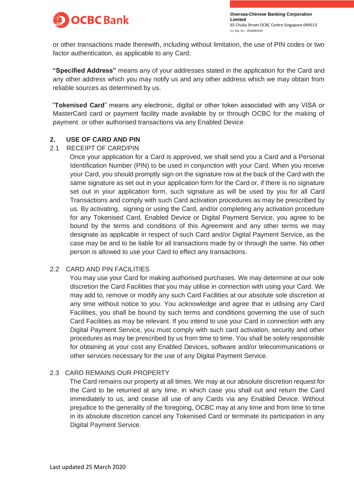

or other transactions made therewith, including without limitation, the use of PIN codes or two factor authentication, as applicable to any Card;

**"Specified Address"** means any of your addresses stated in the application for the Card and any other address which you may notify us and any other address which we may obtain from reliable sources as determined by us.

"**Tokenised Card**" means any electronic, digital or other token associated with any VISA or MasterCard card or payment facility made available by or through OCBC for the making of payment or other authorised transactions via any Enabled Device.

# **2. USE OF CARD AND PIN**

#### 2.1 RECEIPT OF CARD/PIN

Once your application for a Card is approved, we shall send you a Card and a Personal Identification Number (PIN) to be used in conjunction with your Card. When you receive your Card, you should promptly sign on the signature row at the back of the Card with the same signature as set out in your application form for the Card or, if there is no signature set out in your application form, such signature as will be used by you for all Card Transactions and comply with such Card activation procedures as may be prescribed by us. By activating, signing or using the Card, and/or completing any activation procedure for any Tokenised Card, Enabled Device or Digital Payment Service, you agree to be bound by the terms and conditions of this Agreement and any other terms we may designate as applicable in respect of such Card and/or Digital Payment Service, as the case may be and to be liable for all transactions made by or through the same. No other person is allowed to use your Card to effect any transactions.

# 2.2 CARD AND PIN FACILITIES

You may use your Card for making authorised purchases. We may determine at our sole discretion the Card Facilities that you may utilise in connection with using your Card. We may add to, remove or modify any such Card Facilities at our absolute sole discretion at any time without notice to you. You acknowledge and agree that in utilising any Card Facilities, you shall be bound by such terms and conditions governing the use of such Card Facilities as may be relevant. If you intend to use your Card in connection with any Digital Payment Service, you must comply with such card activation, security and other procedures as may be prescribed by us from time to time. You shall be solely responsible for obtaining at your cost any Enabled Devices, software and/or telecommunications or other services necessary for the use of any Digital Payment Service.

#### 2.3 CARD REMAINS OUR PROPERTY

The Card remains our property at all times. We may at our absolute discretion request for the Card to be returned at any time, in which case you shall cut and return the Card immediately to us, and cease all use of any Cards via any Enabled Device. Without prejudice to the generality of the foregoing, OCBC may at any time and from time to time in its absolute discretion cancel any Tokenised Card or terminate its participation in any Digital Payment Service.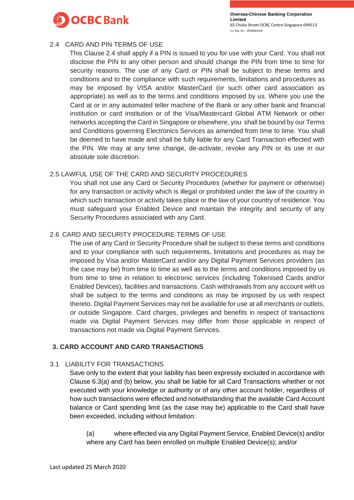

# 2.4 CARD AND PIN TERMS OF USE

This Clause 2.4 shall apply if a PIN is issued to you for use with your Card. You shall not disclose the PIN to any other person and should change the PIN from time to time for security reasons. The use of any Card or PIN shall be subject to these terms and conditions and to the compliance with such requirements, limitations and procedures as may be imposed by VISA and/or MasterCard (or such other card association as appropriate) as well as to the terms and conditions imposed by us. Where you use the Card at or in any automated teller machine of the Bank or any other bank and financial institution or card institution or of the Visa/Mastercard Global ATM Network or other networks accepting the Card in Singapore or elsewhere, you shall be bound by our Terms and Conditions governing Electronics Services as amended from time to time. You shall be deemed to have made and shall be fully liable for any Card Transaction effected with the PIN. We may at any time change, de-activate, revoke any PIN or its use in our absolute sole discretion.

# 2.5 LAWFUL USE OF THE CARD AND SECURITY PROCEDURES

You shall not use any Card or Security Procedures (whether for payment or otherwise) for any transaction or activity which is illegal or prohibited under the law of the country in which such transaction or activity takes place or the law of your country of residence. You must safeguard your Enabled Device and maintain the integrity and security of any Security Procedures associated with any Card.

# 2.6 CARD AND SECURITY PROCEDURE TERMS OF USE

The use of any Card or Security Procedure shall be subject to these terms and conditions and to your compliance with such requirements, limitations and procedures as may be imposed by Visa and/or MasterCard and/or any Digital Payment Services providers (as the case may be) from time to time as well as to the terms and conditions imposed by us from time to time in relation to electronic services (including Tokenised Cards and/or Enabled Devices), facilities and transactions. Cash withdrawals from any account with us shall be subject to the terms and conditions as may be imposed by us with respect thereto. Digital Payment Services may not be available for use at all merchants or outlets, or outside Singapore. Card charges, privileges and benefits in respect of transactions made via Digital Payment Services may differ from those applicable in respect of transactions not made via Digital Payment Services.

# **3. CARD ACCOUNT AND CARD TRANSACTIONS**

# 3.1 LIABILITY FOR TRANSACTIONS

Save only to the extent that your liability has been expressly excluded in accordance with Clause 6.3(a) and (b) below, you shall be liable for all Card Transactions whether or not executed with your knowledge or authority or of any other account holder, regardless of how such transactions were effected and notwithstanding that the available Card Account balance or Card spending limit (as the case may be) applicable to the Card shall have been exceeded, including without limitation:

(a) where effected via any Digital Payment Service, Enabled Device(s) and/or where any Card has been enrolled on multiple Enabled Device(s); and/or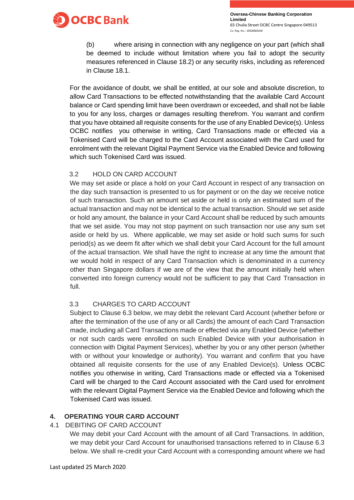

(b) where arising in connection with any negligence on your part (which shall be deemed to include without limitation where you fail to adopt the security measures referenced in Clause 18.2) or any security risks, including as referenced in Clause 18.1.

For the avoidance of doubt, we shall be entitled, at our sole and absolute discretion, to allow Card Transactions to be effected notwithstanding that the available Card Account balance or Card spending limit have been overdrawn or exceeded, and shall not be liable to you for any loss, charges or damages resulting therefrom. You warrant and confirm that you have obtained all requisite consents for the use of any Enabled Device(s). Unless OCBC notifies you otherwise in writing, Card Transactions made or effected via a Tokenised Card will be charged to the Card Account associated with the Card used for enrolment with the relevant Digital Payment Service via the Enabled Device and following which such Tokenised Card was issued.

# 3.2 HOLD ON CARD ACCOUNT

We may set aside or place a hold on your Card Account in respect of any transaction on the day such transaction is presented to us for payment or on the day we receive notice of such transaction. Such an amount set aside or held is only an estimated sum of the actual transaction and may not be identical to the actual transaction. Should we set aside or hold any amount, the balance in your Card Account shall be reduced by such amounts that we set aside. You may not stop payment on such transaction nor use any sum set aside or held by us. Where applicable, we may set aside or hold such sums for such period(s) as we deem fit after which we shall debit your Card Account for the full amount of the actual transaction. We shall have the right to increase at any time the amount that we would hold in respect of any Card Transaction which is denominated in a currency other than Singapore dollars if we are of the view that the amount initially held when converted into foreign currency would not be sufficient to pay that Card Transaction in full.

# 3.3 CHARGES TO CARD ACCOUNT

Subject to Clause 6.3 below, we may debit the relevant Card Account (whether before or after the termination of the use of any or all Cards) the amount of each Card Transaction made, including all Card Transactions made or effected via any Enabled Device (whether or not such cards were enrolled on such Enabled Device with your authorisation in connection with Digital Payment Services), whether by you or any other person (whether with or without your knowledge or authority). You warrant and confirm that you have obtained all requisite consents for the use of any Enabled Device(s). Unless OCBC notifies you otherwise in writing, Card Transactions made or effected via a Tokenised Card will be charged to the Card Account associated with the Card used for enrolment with the relevant Digital Payment Service via the Enabled Device and following which the Tokenised Card was issued.

# **4. OPERATING YOUR CARD ACCOUNT**

4.1 DEBITING OF CARD ACCOUNT

We may debit your Card Account with the amount of all Card Transactions. In addition, we may debit your Card Account for unauthorised transactions referred to in Clause 6.3 below. We shall re-credit your Card Account with a corresponding amount where we had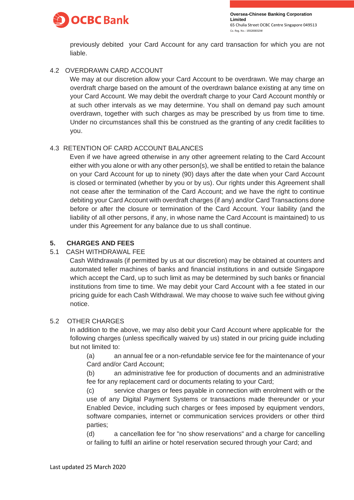

previously debited your Card Account for any card transaction for which you are not liable.

# 4.2 OVERDRAWN CARD ACCOUNT

We may at our discretion allow your Card Account to be overdrawn. We may charge an overdraft charge based on the amount of the overdrawn balance existing at any time on your Card Account. We may debit the overdraft charge to your Card Account monthly or at such other intervals as we may determine. You shall on demand pay such amount overdrawn, together with such charges as may be prescribed by us from time to time. Under no circumstances shall this be construed as the granting of any credit facilities to you.

# 4.3 RETENTION OF CARD ACCOUNT BALANCES

Even if we have agreed otherwise in any other agreement relating to the Card Account either with you alone or with any other person(s), we shall be entitled to retain the balance on your Card Account for up to ninety (90) days after the date when your Card Account is closed or terminated (whether by you or by us). Our rights under this Agreement shall not cease after the termination of the Card Account; and we have the right to continue debiting your Card Account with overdraft charges (if any) and/or Card Transactions done before or after the closure or termination of the Card Account. Your liability (and the liability of all other persons, if any, in whose name the Card Account is maintained) to us under this Agreement for any balance due to us shall continue.

# **5. CHARGES AND FEES**

# 5.1 CASH WITHDRAWAL FEE

Cash Withdrawals (if permitted by us at our discretion) may be obtained at counters and automated teller machines of banks and financial institutions in and outside Singapore which accept the Card, up to such limit as may be determined by such banks or financial institutions from time to time. We may debit your Card Account with a fee stated in our pricing guide for each Cash Withdrawal. We may choose to waive such fee without giving notice.

# 5.2 OTHER CHARGES

In addition to the above, we may also debit your Card Account where applicable for the following charges (unless specifically waived by us) stated in our pricing guide including but not limited to:

(a) an annual fee or a non-refundable service fee for the maintenance of your Card and/or Card Account;

(b) an administrative fee for production of documents and an administrative fee for any replacement card or documents relating to your Card;

(c) service charges or fees payable in connection with enrolment with or the use of any Digital Payment Systems or transactions made thereunder or your Enabled Device, including such charges or fees imposed by equipment vendors, software companies, internet or communication services providers or other third parties;

(d) a cancellation fee for "no show reservations" and a charge for cancelling or failing to fulfil an airline or hotel reservation secured through your Card; and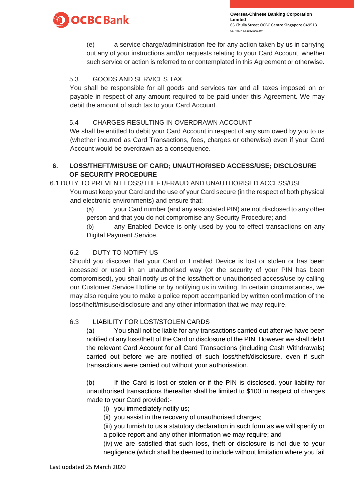

(e) a service charge/administration fee for any action taken by us in carrying out any of your instructions and/or requests relating to your Card Account, whether such service or action is referred to or contemplated in this Agreement or otherwise.

# 5.3 GOODS AND SERVICES TAX

You shall be responsible for all goods and services tax and all taxes imposed on or payable in respect of any amount required to be paid under this Agreement. We may debit the amount of such tax to your Card Account.

# 5.4 CHARGES RESULTING IN OVERDRAWN ACCOUNT

We shall be entitled to debit your Card Account in respect of any sum owed by you to us (whether incurred as Card Transactions, fees, charges or otherwise) even if your Card Account would be overdrawn as a consequence.

# **6. LOSS/THEFT/MISUSE OF CARD; UNAUTHORISED ACCESS/USE; DISCLOSURE OF SECURITY PROCEDURE**

# 6.1 DUTY TO PREVENT LOSS/THEFT/FRAUD AND UNAUTHORISED ACCESS/USE

You must keep your Card and the use of your Card secure (in the respect of both physical and electronic environments) and ensure that:

(a) your Card number (and any associated PIN) are not disclosed to any other person and that you do not compromise any Security Procedure; and

(b) any Enabled Device is only used by you to effect transactions on any Digital Payment Service.

# 6.2 DUTY TO NOTIFY US

Should you discover that your Card or Enabled Device is lost or stolen or has been accessed or used in an unauthorised way (or the security of your PIN has been compromised), you shall notify us of the loss/theft or unauthorised access/use by calling our Customer Service Hotline or by notifying us in writing. In certain circumstances, we may also require you to make a police report accompanied by written confirmation of the loss/theft/misuse/disclosure and any other information that we may require.

# 6.3 LIABILITY FOR LOST/STOLEN CARDS

(a) You shall not be liable for any transactions carried out after we have been notified of any loss/theft of the Card or disclosure of the PIN. However we shall debit the relevant Card Account for all Card Transactions (including Cash Withdrawals) carried out before we are notified of such loss/theft/disclosure, even if such transactions were carried out without your authorisation.

(b) If the Card is lost or stolen or if the PIN is disclosed, your liability for unauthorised transactions thereafter shall be limited to \$100 in respect of charges made to your Card provided:-

- (i) you immediately notify us;
- (ii) you assist in the recovery of unauthorised charges;

(iii) you furnish to us a statutory declaration in such form as we will specify or a police report and any other information we may require; and

(iv) we are satisfied that such loss, theft or disclosure is not due to your negligence (which shall be deemed to include without limitation where you fail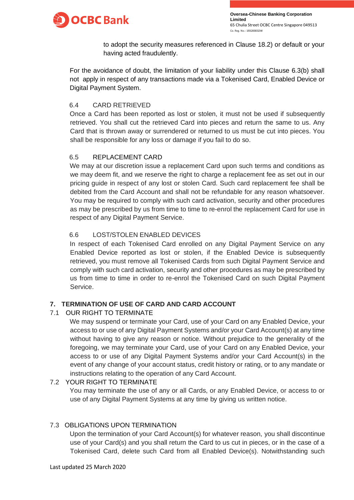

to adopt the security measures referenced in Clause 18.2) or default or your having acted fraudulently.

For the avoidance of doubt, the limitation of your liability under this Clause 6.3(b) shall not apply in respect of any transactions made via a Tokenised Card, Enabled Device or Digital Payment System.

# 6.4 CARD RETRIEVED

Once a Card has been reported as lost or stolen, it must not be used if subsequently retrieved. You shall cut the retrieved Card into pieces and return the same to us. Any Card that is thrown away or surrendered or returned to us must be cut into pieces. You shall be responsible for any loss or damage if you fail to do so.

# 6.5 REPLACEMENT CARD

We may at our discretion issue a replacement Card upon such terms and conditions as we may deem fit, and we reserve the right to charge a replacement fee as set out in our pricing guide in respect of any lost or stolen Card. Such card replacement fee shall be debited from the Card Account and shall not be refundable for any reason whatsoever. You may be required to comply with such card activation, security and other procedures as may be prescribed by us from time to time to re-enrol the replacement Card for use in respect of any Digital Payment Service.

# 6.6 LOST/STOLEN ENABLED DEVICES

In respect of each Tokenised Card enrolled on any Digital Payment Service on any Enabled Device reported as lost or stolen, if the Enabled Device is subsequently retrieved, you must remove all Tokenised Cards from such Digital Payment Service and comply with such card activation, security and other procedures as may be prescribed by us from time to time in order to re-enrol the Tokenised Card on such Digital Payment Service.

# **7. TERMINATION OF USE OF CARD AND CARD ACCOUNT**

# 7.1 OUR RIGHT TO TERMINATE

We may suspend or terminate your Card, use of your Card on any Enabled Device, your access to or use of any Digital Payment Systems and/or your Card Account(s) at any time without having to give any reason or notice. Without prejudice to the generality of the foregoing, we may terminate your Card, use of your Card on any Enabled Device, your access to or use of any Digital Payment Systems and/or your Card Account(s) in the event of any change of your account status, credit history or rating, or to any mandate or instructions relating to the operation of any Card Account.

# 7.2 YOUR RIGHT TO TERMINATE

You may terminate the use of any or all Cards, or any Enabled Device, or access to or use of any Digital Payment Systems at any time by giving us written notice.

# 7.3 OBLIGATIONS UPON TERMINATION

Upon the termination of your Card Account(s) for whatever reason, you shall discontinue use of your Card(s) and you shall return the Card to us cut in pieces, or in the case of a Tokenised Card, delete such Card from all Enabled Device(s). Notwithstanding such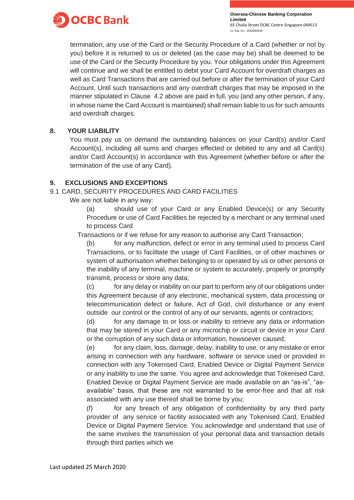

termination, any use of the Card or the Security Procedure of a Card (whether or not by you) before it is returned to us or deleted (as the case may be) shall be deemed to be use of the Card or the Security Procedure by you. Your obligations under this Agreement will continue and we shall be entitled to debit your Card Account for overdraft charges as well as Card Transactions that are carried out before or after the termination of your Card Account. Until such transactions and any overdraft charges that may be imposed in the manner stipulated in Clause 4.2 above are paid in full, you (and any other person, if any, in whose name the Card Account is maintained) shall remain liable to us for such amounts and overdraft charges.

# **8. YOUR LIABILITY**

You must pay us on demand the outstanding balances on your Card(s) and/or Card Account(s), including all sums and charges effected or debited to any and all Card(s) and/or Card Account(s) in accordance with this Agreement (whether before or after the termination of the use of any Card).

# **9. EXCLUSIONS AND EXCEPTIONS**

# 9.1 CARD, SECURITY PROCEDURES AND CARD FACILITIES

We are not liable in any way:

(a) should use of your Card or any Enabled Device(s) or any Security Procedure or use of Card Facilities be rejected by a merchant or any terminal used to process Card

Transactions or if we refuse for any reason to authorise any Card Transaction;

(b) for any malfunction, defect or error in any terminal used to process Card Transactions, or to facilitate the usage of Card Facilities, or of other machines or system of authorisation whether belonging to or operated by us or other persons or the inability of any terminal, machine or system to accurately, properly or promptly transmit, process or store any data;

(c) for any delay or inability on our part to perform any of our obligations under this Agreement because of any electronic, mechanical system, data processing or telecommunication defect or failure, Act of God, civil disturbance or any event outside our control or the control of any of our servants, agents or contractors;

(d) for any damage to or loss or inability to retrieve any data or information that may be stored in your Card or any microchip or circuit or device in your Card or the corruption of any such data or information, howsoever caused;

(e) for any claim, loss, damage, delay, inability to use, or any mistake or error arising in connection with any hardware, software or service used or provided in connection with any Tokenised Card, Enabled Device or Digital Payment Service or any inability to use the same. You agree and acknowledge that Tokenised Card, Enabled Device or Digital Payment Service are made available on an "as-is", "asavailable" basis, that these are not warranted to be error-free and that all risk associated with any use thereof shall be borne by you;

(f) for any breach of any obligation of confidentiality by any third party provider of any service or facility associated with any Tokenised Card, Enabled Device or Digital Payment Service. You acknowledge and understand that use of the same involves the transmission of your personal data and transaction details through third parties which we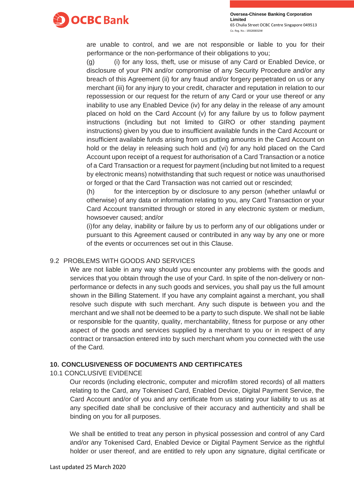

are unable to control, and we are not responsible or liable to you for their performance or the non-performance of their obligations to you;

(g) (i) for any loss, theft, use or misuse of any Card or Enabled Device, or disclosure of your PIN and/or compromise of any Security Procedure and/or any breach of this Agreement (ii) for any fraud and/or forgery perpetrated on us or any merchant (iii) for any injury to your credit, character and reputation in relation to our repossession or our request for the return of any Card or your use thereof or any inability to use any Enabled Device (iv) for any delay in the release of any amount placed on hold on the Card Account (v) for any failure by us to follow payment instructions (including but not limited to GIRO or other standing payment instructions) given by you due to insufficient available funds in the Card Account or insufficient available funds arising from us putting amounts in the Card Account on hold or the delay in releasing such hold and (vi) for any hold placed on the Card Account upon receipt of a request for authorisation of a Card Transaction or a notice of a Card Transaction or a request for payment (including but not limited to a request by electronic means) notwithstanding that such request or notice was unauthorised or forged or that the Card Transaction was not carried out or rescinded;

(h) for the interception by or disclosure to any person (whether unlawful or otherwise) of any data or information relating to you, any Card Transaction or your Card Account transmitted through or stored in any electronic system or medium, howsoever caused; and/or

(i)for any delay, inability or failure by us to perform any of our obligations under or pursuant to this Agreement caused or contributed in any way by any one or more of the events or occurrences set out in this Clause.

# 9.2 PROBLEMS WITH GOODS AND SERVICES

We are not liable in any way should you encounter any problems with the goods and services that you obtain through the use of your Card. In spite of the non-delivery or nonperformance or defects in any such goods and services, you shall pay us the full amount shown in the Billing Statement. If you have any complaint against a merchant, you shall resolve such dispute with such merchant. Any such dispute is between you and the merchant and we shall not be deemed to be a party to such dispute. We shall not be liable or responsible for the quantity, quality, merchantability, fitness for purpose or any other aspect of the goods and services supplied by a merchant to you or in respect of any contract or transaction entered into by such merchant whom you connected with the use of the Card.

# **10. CONCLUSIVENESS OF DOCUMENTS AND CERTIFICATES**

10.1 CONCLUSIVE EVIDENCE

Our records (including electronic, computer and microfilm stored records) of all matters relating to the Card, any Tokenised Card, Enabled Device, Digital Payment Service, the Card Account and/or of you and any certificate from us stating your liability to us as at any specified date shall be conclusive of their accuracy and authenticity and shall be binding on you for all purposes.

We shall be entitled to treat any person in physical possession and control of any Card and/or any Tokenised Card, Enabled Device or Digital Payment Service as the rightful holder or user thereof, and are entitled to rely upon any signature, digital certificate or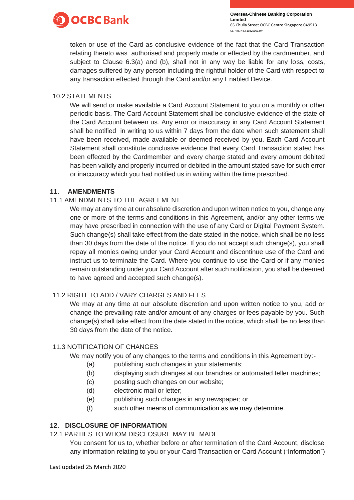

token or use of the Card as conclusive evidence of the fact that the Card Transaction relating thereto was authorised and properly made or effected by the cardmember, and subject to Clause 6.3(a) and (b), shall not in any way be liable for any loss, costs, damages suffered by any person including the rightful holder of the Card with respect to any transaction effected through the Card and/or any Enabled Device.

### 10.2 STATEMENTS

We will send or make available a Card Account Statement to you on a monthly or other periodic basis. The Card Account Statement shall be conclusive evidence of the state of the Card Account between us. Any error or inaccuracy in any Card Account Statement shall be notified in writing to us within 7 days from the date when such statement shall have been received, made available or deemed received by you. Each Card Account Statement shall constitute conclusive evidence that every Card Transaction stated has been effected by the Cardmember and every charge stated and every amount debited has been validly and properly incurred or debited in the amount stated save for such error or inaccuracy which you had notified us in writing within the time prescribed.

# **11. AMENDMENTS**

#### 11.1 AMENDMENTS TO THE AGREEMENT

We may at any time at our absolute discretion and upon written notice to you, change any one or more of the terms and conditions in this Agreement, and/or any other terms we may have prescribed in connection with the use of any Card or Digital Payment System. Such change(s) shall take effect from the date stated in the notice, which shall be no less than 30 days from the date of the notice. If you do not accept such change(s), you shall repay all monies owing under your Card Account and discontinue use of the Card and instruct us to terminate the Card. Where you continue to use the Card or if any monies remain outstanding under your Card Account after such notification, you shall be deemed to have agreed and accepted such change(s).

# 11.2 RIGHT TO ADD / VARY CHARGES AND FEES

We may at any time at our absolute discretion and upon written notice to you, add or change the prevailing rate and/or amount of any charges or fees payable by you. Such change(s) shall take effect from the date stated in the notice, which shall be no less than 30 days from the date of the notice.

# 11.3 NOTIFICATION OF CHANGES

We may notify you of any changes to the terms and conditions in this Agreement by:-

- (a) publishing such changes in your statements;
- (b) displaying such changes at our branches or automated teller machines;
- (c) posting such changes on our website;
- (d) electronic mail or letter;
- (e) publishing such changes in any newspaper; or
- (f) such other means of communication as we may determine.

# **12. DISCLOSURE OF INFORMATION**

# 12.1 PARTIES TO WHOM DISCLOSURE MAY BE MADE

You consent for us to, whether before or after termination of the Card Account, disclose any information relating to you or your Card Transaction or Card Account ("Information")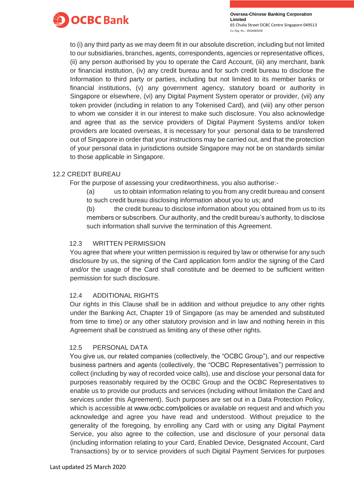

to (i) any third party as we may deem fit in our absolute discretion, including but not limited to our subsidiaries, branches, agents, correspondents, agencies or representative offices, (ii) any person authorised by you to operate the Card Account, (iii) any merchant, bank or financial institution, (iv) any credit bureau and for such credit bureau to disclose the Information to third party or parties, including but not limited to its member banks or financial institutions, (v) any government agency, statutory board or authority in Singapore or elsewhere, (vi) any Digital Payment System operator or provider, (vii) any token provider (including in relation to any Tokenised Card), and (viii) any other person to whom we consider it in our interest to make such disclosure. You also acknowledge and agree that as the service providers of Digital Payment Systems and/or token providers are located overseas, it is necessary for your personal data to be transferred out of Singapore in order that your instructions may be carried out, and that the protection of your personal data in jurisdictions outside Singapore may not be on standards similar to those applicable in Singapore.

# 12.2 CREDIT BUREAU

For the purpose of assessing your creditworthiness, you also authorise:-

(a) us to obtain information relating to you from any credit bureau and consent to such credit bureau disclosing information about you to us; and

(b) the credit bureau to disclose information about you obtained from us to its members or subscribers. Our authority, and the credit bureau's authority, to disclose such information shall survive the termination of this Agreement.

# 12.3 WRITTEN PERMISSION

You agree that where your written permission is required by law or otherwise for any such disclosure by us, the signing of the Card application form and/or the signing of the Card and/or the usage of the Card shall constitute and be deemed to be sufficient written permission for such disclosure.

# 12.4 ADDITIONAL RIGHTS

Our rights in this Clause shall be in addition and without prejudice to any other rights under the Banking Act, Chapter 19 of Singapore (as may be amended and substituted from time to time) or any other statutory provision and in law and nothing herein in this Agreement shall be construed as limiting any of these other rights.

# 12.5 PERSONAL DATA

You give us, our related companies (collectively, the "OCBC Group"), and our respective business partners and agents (collectively, the "OCBC Representatives") permission to collect (including by way of recorded voice calls), use and disclose your personal data for purposes reasonably required by the OCBC Group and the OCBC Representatives to enable us to provide our products and services (including without limitation the Card and services under this Agreement). Such purposes are set out in a Data Protection Policy, which is accessible at [www.ocbc.com/policies or](http://www.ocbc.com/policies) available on request and and which you acknowledge and agree you have read and understood. Without prejudice to the generality of the foregoing, by enrolling any Card with or using any Digital Payment Service, you also agree to the collection, use and disclosure of your personal data (including information relating to your Card, Enabled Device, Designated Account, Card Transactions) by or to service providers of such Digital Payment Services for purposes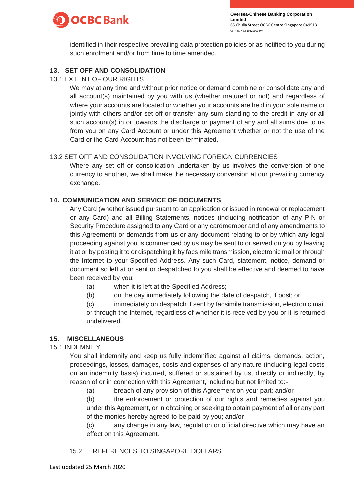

identified in their respective prevailing data protection policies or as notified to you during such enrolment and/or from time to time amended.

# **13. SET OFF AND CONSOLIDATION**

### 13.1 EXTENT OF OUR RIGHTS

We may at any time and without prior notice or demand combine or consolidate any and all account(s) maintained by you with us (whether matured or not) and regardless of where your accounts are located or whether your accounts are held in your sole name or jointly with others and/or set off or transfer any sum standing to the credit in any or all such account(s) in or towards the discharge or payment of any and all sums due to us from you on any Card Account or under this Agreement whether or not the use of the Card or the Card Account has not been terminated.

# 13.2 SET OFF AND CONSOLIDATION INVOLVING FOREIGN CURRENCIES

Where any set off or consolidation undertaken by us involves the conversion of one currency to another, we shall make the necessary conversion at our prevailing currency exchange.

#### **14. COMMUNICATION AND SERVICE OF DOCUMENTS**

Any Card (whether issued pursuant to an application or issued in renewal or replacement or any Card) and all Billing Statements, notices (including notification of any PIN or Security Procedure assigned to any Card or any cardmember and of any amendments to this Agreement) or demands from us or any document relating to or by which any legal proceeding against you is commenced by us may be sent to or served on you by leaving it at or by posting it to or dispatching it by facsimile transmission, electronic mail or through the Internet to your Specified Address. Any such Card, statement, notice, demand or document so left at or sent or despatched to you shall be effective and deemed to have been received by you:

- (a) when it is left at the Specified Address;
- (b) on the day immediately following the date of despatch, if post; or

(c) immediately on despatch if sent by facsimile transmission, electronic mail or through the Internet, regardless of whether it is received by you or it is returned undelivered.

# **15. MISCELLANEOUS**

#### 15.1 INDEMNITY

You shall indemnify and keep us fully indemnified against all claims, demands, action, proceedings, losses, damages, costs and expenses of any nature (including legal costs on an indemnity basis) incurred, suffered or sustained by us, directly or indirectly, by reason of or in connection with this Agreement, including but not limited to:-

(a) breach of any provision of this Agreement on your part; and/or

(b) the enforcement or protection of our rights and remedies against you under this Agreement, or in obtaining or seeking to obtain payment of all or any part of the monies hereby agreed to be paid by you; and/or

(c) any change in any law, regulation or official directive which may have an effect on this Agreement.

# 15.2 REFERENCES TO SINGAPORE DOLLARS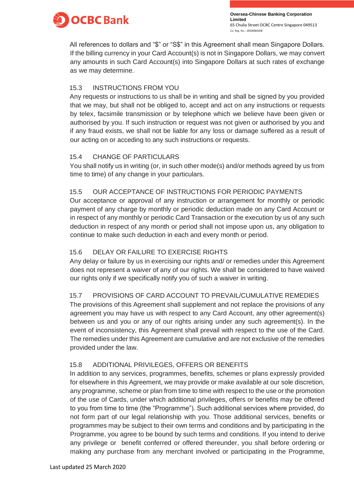

All references to dollars and "\$" or "S\$" in this Agreement shall mean Singapore Dollars. If the billing currency in your Card Account(s) is not in Singapore Dollars, we may convert any amounts in such Card Account(s) into Singapore Dollars at such rates of exchange as we may determine.

# 15.3 INSTRUCTIONS FROM YOU

Any requests or instructions to us shall be in writing and shall be signed by you provided that we may, but shall not be obliged to, accept and act on any instructions or requests by telex, facsimile transmission or by telephone which we believe have been given or authorised by you. If such instruction or request was not given or authorised by you and if any fraud exists, we shall not be liable for any loss or damage suffered as a result of our acting on or acceding to any such instructions or requests.

# 15.4 CHANGE OF PARTICULARS

You shall notify us in writing (or, in such other mode(s) and/or methods agreed by us from time to time) of any change in your particulars.

# 15.5 OUR ACCEPTANCE OF INSTRUCTIONS FOR PERIODIC PAYMENTS

Our acceptance or approval of any instruction or arrangement for monthly or periodic payment of any charge by monthly or periodic deduction made on any Card Account or in respect of any monthly or periodic Card Transaction or the execution by us of any such deduction in respect of any month or period shall not impose upon us, any obligation to continue to make such deduction in each and every month or period.

# 15.6 DELAY OR FAILURE TO EXERCISE RIGHTS

Any delay or failure by us in exercising our rights and/ or remedies under this Agreement does not represent a waiver of any of our rights. We shall be considered to have waived our rights only if we specifically notify you of such a waiver in writing.

# 15.7 PROVISIONS OF CARD ACCOUNT TO PREVAIL/CUMULATIVE REMEDIES

The provisions of this Agreement shall supplement and not replace the provisions of any agreement you may have us with respect to any Card Account, any other agreement(s) between us and you or any of our rights arising under any such agreement(s). In the event of inconsistency, this Agreement shall prevail with respect to the use of the Card. The remedies under this Agreement are cumulative and are not exclusive of the remedies provided under the law.

# 15.8 ADDITIONAL PRIVILEGES, OFFERS OR BENEFITS

In addition to any services, programmes, benefits, schemes or plans expressly provided for elsewhere in this Agreement, we may provide or make available at our sole discretion, any programme, scheme or plan from time to time with respect to the use or the promotion of the use of Cards, under which additional privileges, offers or benefits may be offered to you from time to time (the "Programme"). Such additional services where provided, do not form part of our legal relationship with you. Those additional services, benefits or programmes may be subject to their own terms and conditions and by participating in the Programme, you agree to be bound by such terms and conditions. If you intend to derive any privilege or benefit conferred or offered thereunder, you shall before ordering or making any purchase from any merchant involved or participating in the Programme,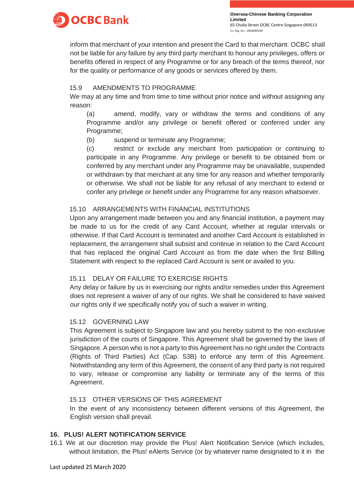

inform that merchant of your intention and present the Card to that merchant. OCBC shall not be liable for any failure by any third party merchant to honour any privileges, offers or benefits offered in respect of any Programme or for any breach of the terms thereof, nor for the quality or performance of any goods or services offered by them.

# 15.9 AMENDMENTS TO PROGRAMME

We may at any time and from time to time without prior notice and without assigning any reason:

(a) amend, modify, vary or withdraw the terms and conditions of any Programme and/or any privilege or benefit offered or conferred under any Programme;

(b) suspend or terminate any Programme;

(c) restrict or exclude any merchant from participation or continuing to participate in any Programme. Any privilege or benefit to be obtained from or conferred by any merchant under any Programme may be unavailable, suspended or withdrawn by that merchant at any time for any reason and whether temporarily or otherwise. We shall not be liable for any refusal of any merchant to extend or confer any privilege or benefit under any Programme for any reason whatsoever.

# 15.10 ARRANGEMENTS WITH FINANCIAL INSTITUTIONS

Upon any arrangement made between you and any financial institution, a payment may be made to us for the credit of any Card Account, whether at regular intervals or otherwise. If that Card Account is terminated and another Card Account is established in replacement, the arrangement shall subsist and continue in relation to the Card Account that has replaced the original Card Account as from the date when the first Billing Statement with respect to the replaced Card Account is sent or availed to you.

# 15.11 DELAY OR FAILURE TO EXERCISE RIGHTS

Any delay or failure by us in exercising our rights and/or remedies under this Agreement does not represent a waiver of any of our rights. We shall be considered to have waived our rights only if we specifically notify you of such a waiver in writing.

# 15.12 GOVERNING LAW

This Agreement is subject to Singapore law and you hereby submit to the non-exclusive jurisdiction of the courts of Singapore. This Agreement shall be governed by the laws of Singapore. A person who is not a party to this Agreement has no right under the Contracts (Rights of Third Parties) Act (Cap. 53B) to enforce any term of this Agreement. Notwithstanding any term of this Agreement, the consent of any third party is not required to vary, release or compromise any liability or terminate any of the terms of this Agreement.

# 15.13 OTHER VERSIONS OF THIS AGREEMENT

In the event of any inconsistency between different versions of this Agreement, the English version shall prevail.

# **16. PLUS! ALERT NOTIFICATION SERVICE**

16.1 We at our discretion may provide the Plus! Alert Notification Service (which includes, without limitation, the Plus! eAlerts Service (or by whatever name designated to it in the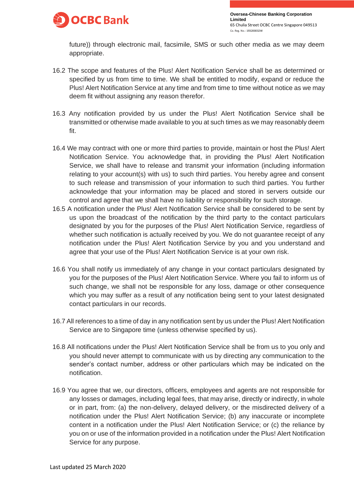

future)) through electronic mail, facsimile, SMS or such other media as we may deem appropriate.

- 16.2 The scope and features of the Plus! Alert Notification Service shall be as determined or specified by us from time to time. We shall be entitled to modify, expand or reduce the Plus! Alert Notification Service at any time and from time to time without notice as we may deem fit without assigning any reason therefor.
- 16.3 Any notification provided by us under the Plus! Alert Notification Service shall be transmitted or otherwise made available to you at such times as we may reasonably deem fit.
- 16.4 We may contract with one or more third parties to provide, maintain or host the Plus! Alert Notification Service. You acknowledge that, in providing the Plus! Alert Notification Service, we shall have to release and transmit your information (including information relating to your account(s) with us) to such third parties. You hereby agree and consent to such release and transmission of your information to such third parties. You further acknowledge that your information may be placed and stored in servers outside our control and agree that we shall have no liability or responsibility for such storage.
- 16.5 A notification under the Plus! Alert Notification Service shall be considered to be sent by us upon the broadcast of the notification by the third party to the contact particulars designated by you for the purposes of the Plus! Alert Notification Service, regardless of whether such notification is actually received by you. We do not guarantee receipt of any notification under the Plus! Alert Notification Service by you and you understand and agree that your use of the Plus! Alert Notification Service is at your own risk.
- 16.6 You shall notify us immediately of any change in your contact particulars designated by you for the purposes of the Plus! Alert Notification Service. Where you fail to inform us of such change, we shall not be responsible for any loss, damage or other consequence which you may suffer as a result of any notification being sent to your latest designated contact particulars in our records.
- 16.7 All references to a time of day in any notification sent by us under the Plus! Alert Notification Service are to Singapore time (unless otherwise specified by us).
- 16.8 All notifications under the Plus! Alert Notification Service shall be from us to you only and you should never attempt to communicate with us by directing any communication to the sender's contact number, address or other particulars which may be indicated on the notification.
- 16.9 You agree that we, our directors, officers, employees and agents are not responsible for any losses or damages, including legal fees, that may arise, directly or indirectly, in whole or in part, from: (a) the non-delivery, delayed delivery, or the misdirected delivery of a notification under the Plus! Alert Notification Service; (b) any inaccurate or incomplete content in a notification under the Plus! Alert Notification Service; or (c) the reliance by you on or use of the information provided in a notification under the Plus! Alert Notification Service for any purpose.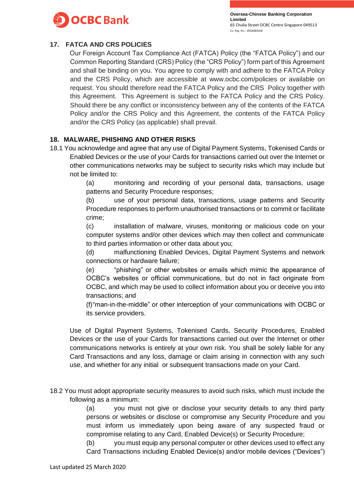

# **17. FATCA AND CRS POLICIES**

Our Foreign Account Tax Compliance Act (FATCA) Policy (the "FATCA Policy") and our Common Reporting Standard (CRS) Policy (the "CRS Policy") form part of this Agreement and shall be binding on you. You agree to comply with and adhere to the FATCA Policy and the CRS Policy, which are accessible at [www.ocbc.com/policies o](http://www.ocbc.com/policies)r available on request. You should therefore read the FATCA Policy and the CRS Policy together with this Agreement. This Agreement is subject to the FATCA Policy and the CRS Policy. Should there be any conflict or inconsistency between any of the contents of the FATCA Policy and/or the CRS Policy and this Agreement, the contents of the FATCA Policy and/or the CRS Policy (as applicable) shall prevail.

# **18. MALWARE, PHISHING AND OTHER RISKS**

18.1 You acknowledge and agree that any use of Digital Payment Systems, Tokenised Cards or Enabled Devices or the use of your Cards for transactions carried out over the Internet or other communications networks may be subject to security risks which may include but not be limited to:

> (a) monitoring and recording of your personal data, transactions, usage patterns and Security Procedure responses;

> (b) use of your personal data, transactions, usage patterns and Security Procedure responses to perform unauthorised transactions or to commit or facilitate crime;

> (c) installation of malware, viruses, monitoring or malicious code on your computer systems and/or other devices which may then collect and communicate to third parties information or other data about you;

> (d) malfunctioning Enabled Devices, Digital Payment Systems and network connections or hardware failure;

> (e) "phishing" or other websites or emails which mimic the appearance of OCBC's websites or official communications, but do not in fact originate from OCBC, and which may be used to collect information about you or deceive you into transactions; and

> (f)"man-in-the-middle" or other interception of your communications with OCBC or its service providers.

Use of Digital Payment Systems, Tokenised Cards, Security Procedures, Enabled Devices or the use of your Cards for transactions carried out over the Internet or other communications networks is entirely at your own risk. You shall be solely liable for any Card Transactions and any loss, damage or claim arising in connection with any such use, and whether for any initial or subsequent transactions made on your Card.

18.2 You must adopt appropriate security measures to avoid such risks, which must include the following as a minimum:

> (a) you must not give or disclose your security details to any third party persons or websites or disclose or compromise any Security Procedure and you must inform us immediately upon being aware of any suspected fraud or compromise relating to any Card, Enabled Device(s) or Security Procedure;

> (b) you must equip any personal computer or other devices used to effect any Card Transactions including Enabled Device(s) and/or mobile devices ("Devices")